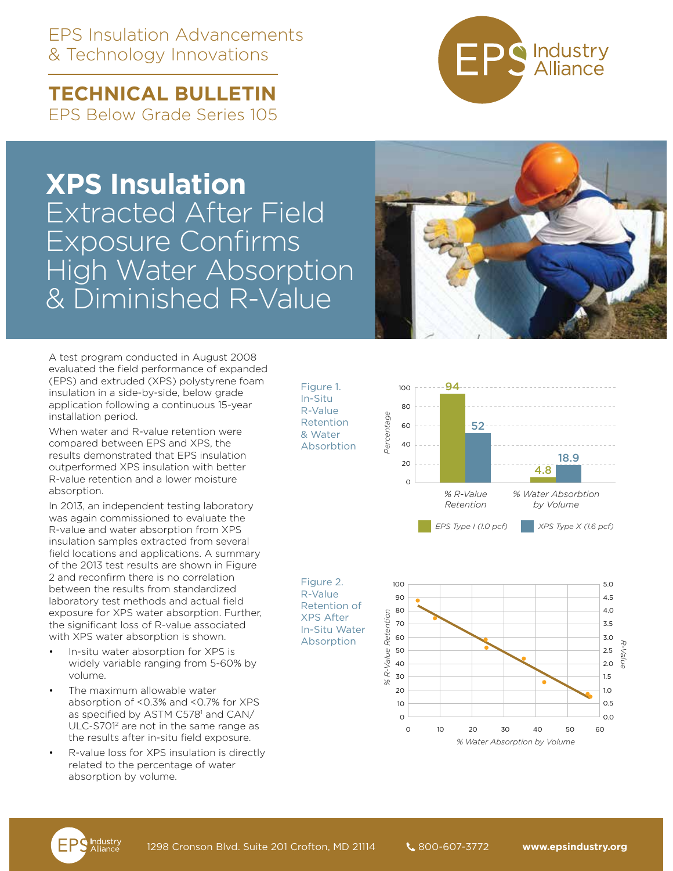## EPS Insulation Advancements & Technology Innovations

**TECHNICAL BULLETIN**  EPS Below Grade Series 105

# **XPS Insulation**  Extracted After Field Exposure Confirms High Water Absorption & Diminished R-Value

Figure 1. In-Situ R-Value Retention & Water Absorbtion



A test program conducted in August 2008 evaluated the field performance of expanded (EPS) and extruded (XPS) polystyrene foam insulation in a side-by-side, below grade application following a continuous 15-year installation period.

When water and R-value retention were compared between EPS and XPS, the results demonstrated that EPS insulation outperformed XPS insulation with better R-value retention and a lower moisture absorption.

In 2013, an independent testing laboratory was again commissioned to evaluate the R-value and water absorption from XPS insulation samples extracted from several field locations and applications. A summary of the 2013 test results are shown in Figure 2 and reconfirm there is no correlation between the results from standardized laboratory test methods and actual field exposure for XPS water absorption. Further, the significant loss of R-value associated with XPS water absorption is shown.

- In-situ water absorption for XPS is widely variable ranging from 5-60% by volume.
- The maximum allowable water absorption of <0.3% and <0.7% for XPS as specified by ASTM C578<sup>1</sup> and CAN/ ULC-S7012 are not in the same range as the results after in-situ field exposure.
- R-value loss for XPS insulation is directly related to the percentage of water absorption by volume.

94  $100$ 80 Percentage *Percentage* 52  $60$ 40 18.9  $20$ 4.8  $\alpha$ *% Water Absorbtion % R-Value Retention by Volume EPS Type I (1.0 pcf) XPS Type X (1.6 pcf)*





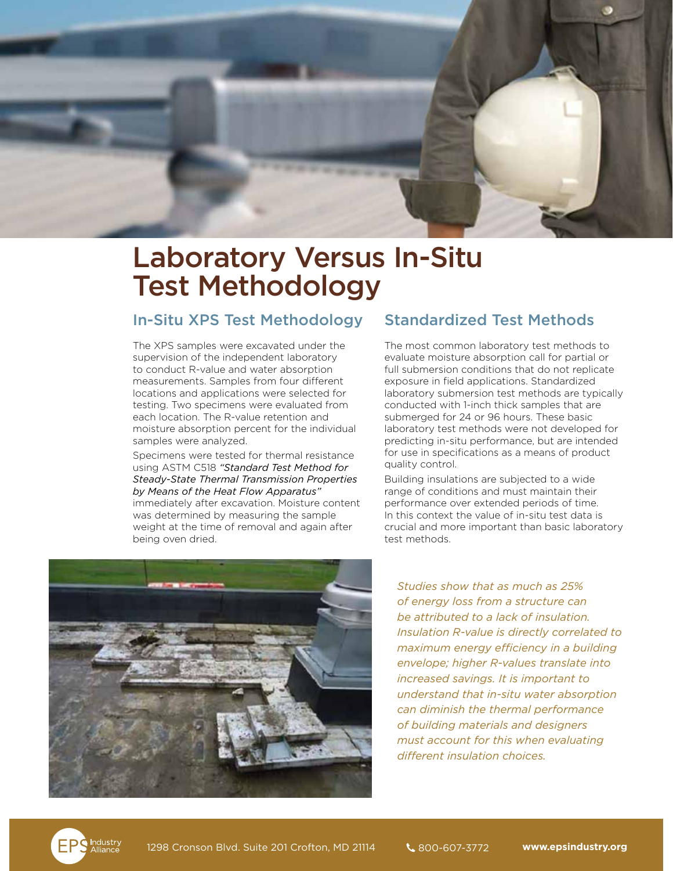

# Laboratory Versus In-Situ Test Methodology

### In-Situ XPS Test Methodology

The XPS samples were excavated under the supervision of the independent laboratory to conduct R-value and water absorption measurements. Samples from four different locations and applications were selected for testing. Two specimens were evaluated from each location. The R-value retention and moisture absorption percent for the individual samples were analyzed.

Specimens were tested for thermal resistance using ASTM C518 *"Standard Test Method for Steady-State Thermal Transmission Properties by Means of the Heat Flow Apparatus"* immediately after excavation. Moisture content was determined by measuring the sample weight at the time of removal and again after being oven dried.

### Standardized Test Methods

The most common laboratory test methods to evaluate moisture absorption call for partial or full submersion conditions that do not replicate exposure in field applications. Standardized laboratory submersion test methods are typically conducted with 1-inch thick samples that are submerged for 24 or 96 hours. These basic laboratory test methods were not developed for predicting in-situ performance, but are intended for use in specifications as a means of product quality control.

Building insulations are subjected to a wide range of conditions and must maintain their performance over extended periods of time. In this context the value of in-situ test data is crucial and more important than basic laboratory test methods.



*Studies show that as much as 25% of energy loss from a structure can be attributed to a lack of insulation. Insulation R-value is directly correlated to maximum energy efficiency in a building envelope; higher R-values translate into increased savings. It is important to understand that in-situ water absorption can diminish the thermal performance of building materials and designers must account for this when evaluating different insulation choices.*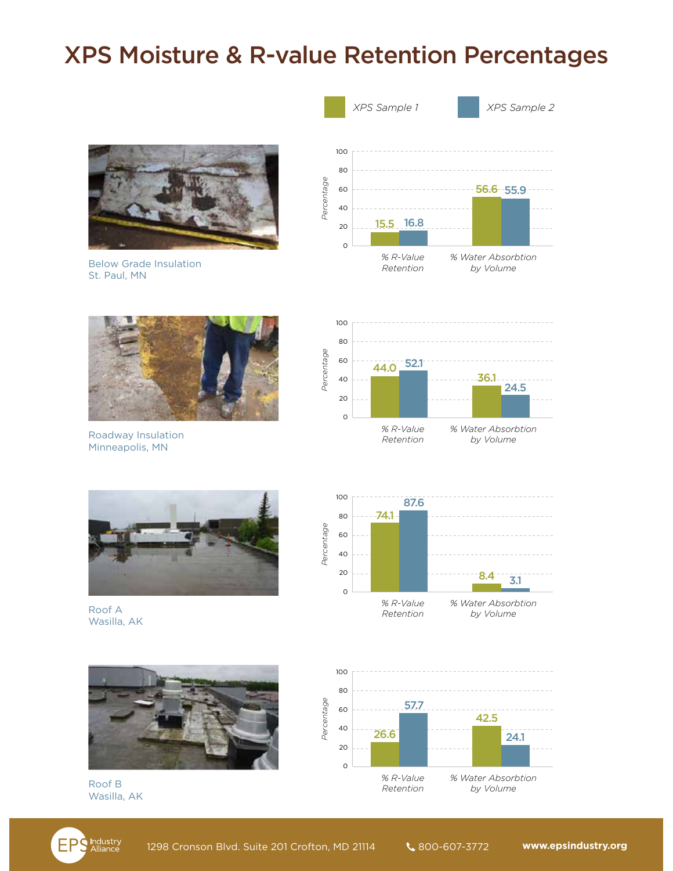## XPS Moisture & R-value Retention Percentages



Below Grade Insulation St. Paul, MN



Roadway Insulation Minneapolis, MN



Roof A Wasilla, AK



Roof B Wasilla, AK





*Retention*

*by Volume*